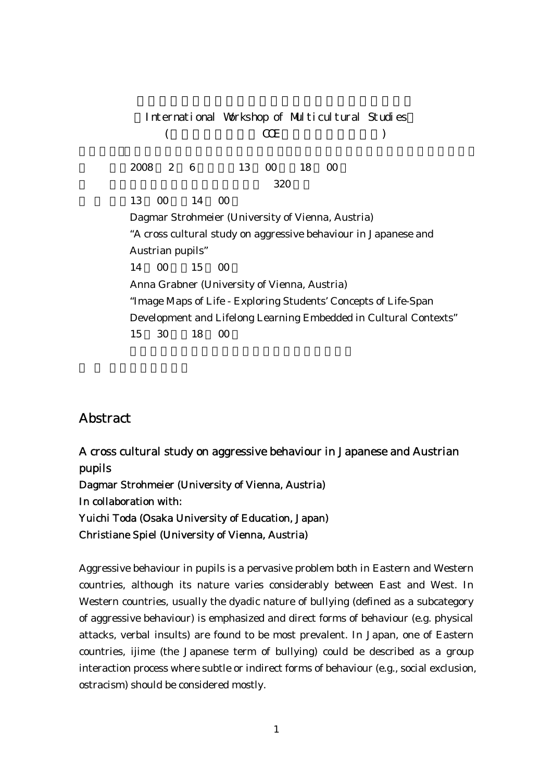International Workshop of Multicultural Studies  $($  COE  $)$ 18 00 2 6 13 00 18 00  $320$ 13 00 14 00 Dagmar Strohmeier (University of Vienna, Austria) "A cross cultural study on aggressive behaviour in Japanese and Austrian pupils" 14 00 15 00 Anna Grabner (University of Vienna, Austria) "Image Maps of Life - Exploring Students' Concepts of Life-Span Development and Lifelong Learning Embedded in Cultural Contexts"  $15$  30  $18$  00

## Abstract

A cross cultural study on aggressive behaviour in Japanese and Austrian pupils Dagmar Strohmeier (University of Vienna, Austria) In collaboration with: Yuichi Toda (Osaka University of Education, Japan) Christiane Spiel (University of Vienna, Austria)

Aggressive behaviour in pupils is a pervasive problem both in Eastern and Western countries, although its nature varies considerably between East and West. In Western countries, usually the dyadic nature of bullying (defined as a subcategory of aggressive behaviour) is emphasized and direct forms of behaviour (e.g. physical attacks, verbal insults) are found to be most prevalent. In Japan, one of Eastern countries, ijime (the Japanese term of bullying) could be described as a group interaction process where subtle or indirect forms of behaviour (e.g., social exclusion, ostracism) should be considered mostly.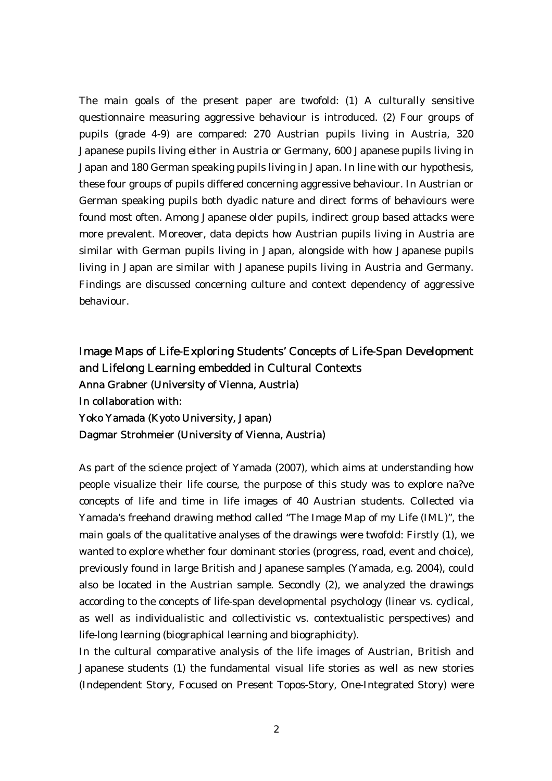The main goals of the present paper are twofold: (1) A culturally sensitive questionnaire measuring aggressive behaviour is introduced. (2) Four groups of pupils (grade 4-9) are compared: 270 Austrian pupils living in Austria, 320 Japanese pupils living either in Austria or Germany, 600 Japanese pupils living in Japan and 180 German speaking pupils living in Japan. In line with our hypothesis, these four groups of pupils differed concerning aggressive behaviour. In Austrian or German speaking pupils both dyadic nature and direct forms of behaviours were found most often. Among Japanese older pupils, indirect group based attacks were more prevalent. Moreover, data depicts how Austrian pupils living in Austria are similar with German pupils living in Japan, alongside with how Japanese pupils living in Japan are similar with Japanese pupils living in Austria and Germany. Findings are discussed concerning culture and context dependency of aggressive behaviour.

## Image Maps of Life-Exploring Students' Concepts of Life-Span Development and Lifelong Learning embedded in Cultural Contexts Anna Grabner (University of Vienna, Austria) In collaboration with: Yoko Yamada (Kyoto University, Japan) Dagmar Strohmeier (University of Vienna, Austria)

As part of the science project of Yamada (2007), which aims at understanding how people visualize their life course, the purpose of this study was to explore na?ve concepts of life and time in life images of 40 Austrian students. Collected via Yamada's freehand drawing method called "The Image Map of my Life (IML)", the main goals of the qualitative analyses of the drawings were twofold: Firstly (1), we wanted to explore whether four dominant stories (progress, road, event and choice), previously found in large British and Japanese samples (Yamada, e.g. 2004), could also be located in the Austrian sample. Secondly (2), we analyzed the drawings according to the concepts of life-span developmental psychology (linear vs. cyclical, as well as individualistic and collectivistic vs. contextualistic perspectives) and life-long learning (biographical learning and biographicity).

In the cultural comparative analysis of the life images of Austrian, British and Japanese students (1) the fundamental visual life stories as well as new stories (Independent Story, Focused on Present Topos-Story, One-Integrated Story) were